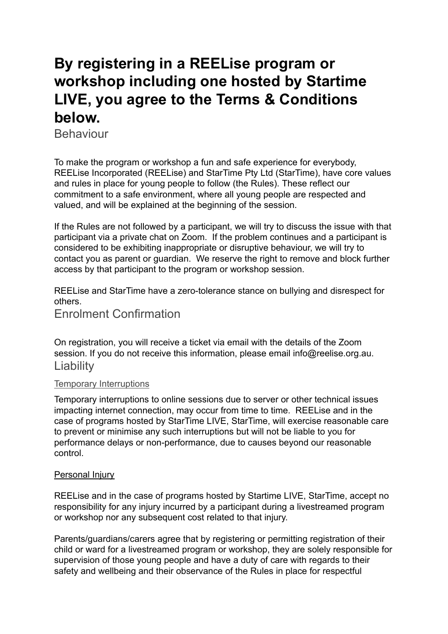# **By registering in a REELise program or workshop including one hosted by Startime LIVE, you agree to the Terms & Conditions below.**

Behaviour

To make the program or workshop a fun and safe experience for everybody, REELise Incorporated (REELise) and StarTime Pty Ltd (StarTime), have core values and rules in place for young people to follow (the Rules). These reflect our commitment to a safe environment, where all young people are respected and valued, and will be explained at the beginning of the session.

If the Rules are not followed by a participant, we will try to discuss the issue with that participant via a private chat on Zoom. If the problem continues and a participant is considered to be exhibiting inappropriate or disruptive behaviour, we will try to contact you as parent or guardian. We reserve the right to remove and block further access by that participant to the program or workshop session.

REELise and StarTime have a zero-tolerance stance on bullying and disrespect for others.

Enrolment Confirmation

On registration, you will receive a ticket via email with the details of the Zoom session. If you do not receive this information, please email info@reelise.org.au. **Liability** 

#### Temporary Interruptions

Temporary interruptions to online sessions due to server or other technical issues impacting internet connection, may occur from time to time. REELise and in the case of programs hosted by StarTime LIVE, StarTime, will exercise reasonable care to prevent or minimise any such interruptions but will not be liable to you for performance delays or non-performance, due to causes beyond our reasonable control.

#### Personal Injury

REELise and in the case of programs hosted by Startime LIVE, StarTime, accept no responsibility for any injury incurred by a participant during a livestreamed program or workshop nor any subsequent cost related to that injury.

Parents/guardians/carers agree that by registering or permitting registration of their child or ward for a livestreamed program or workshop, they are solely responsible for supervision of those young people and have a duty of care with regards to their safety and wellbeing and their observance of the Rules in place for respectful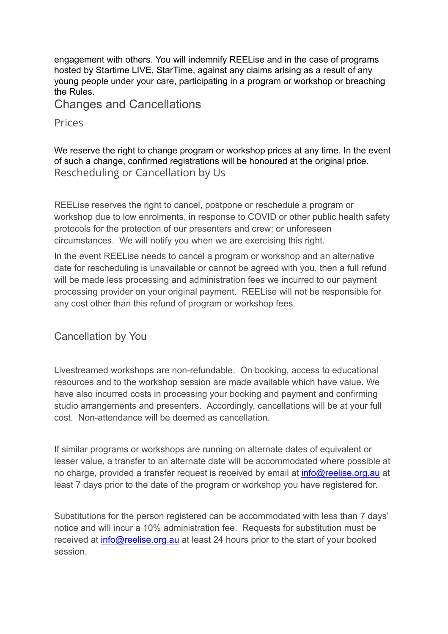engagement with others. You will indemnify REELise and in the case of programs hosted by Startime LIVE, StarTime, against any claims arising as a result of any young people under your care, participating in a program or workshop or breaching the Rules.

Changes and Cancellations

**Prices** 

We reserve the right to change program or workshop prices at any time. In the event of such a change, confirmed registrations will be honoured at the original price. Rescheduling or Cancellation by Us

REELise reserves the right to cancel, postpone or reschedule a program or workshop due to low enrolments, in response to COVID or other public health safety protocols for the protection of our presenters and crew; or unforeseen circumstances. We will notify you when we are exercising this right.

In the event REELise needs to cancel a program or workshop and an alternative date for rescheduling is unavailable or cannot be agreed with you, then a full refund will be made less processing and administration fees we incurred to our payment processing provider on your original payment. REELise will not be responsible for any cost other than this refund of program or workshop fees.

Cancellation by You

Livestreamed workshops are non-refundable. On booking, access to educational resources and to the workshop session are made available which have value. We have also incurred costs in processing your booking and payment and confirming studio arrangements and presenters. Accordingly, cancellations will be at your full cost. Non-attendance will be deemed as cancellation.

If similar programs or workshops are running on alternate dates of equivalent or lesser value, a transfer to an alternate date will be accommodated where possible at no charge, provided a transfer request is received by email at *[info@reelise.org.au](mailto:info@reelise.org.au)* at least 7 days prior to the date of the program or workshop you have registered for.

Substitutions for the person registered can be accommodated with less than 7 days' notice and will incur a 10% administration fee. Requests for substitution must be received at [info@reelise.org.au](mailto:info@reelise.org.au) at least 24 hours prior to the start of your booked session.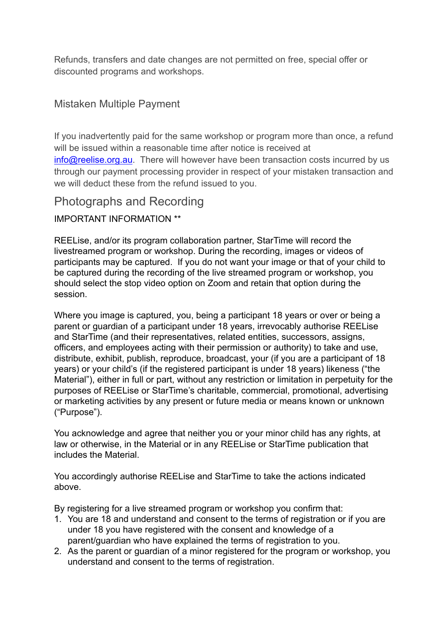Refunds, transfers and date changes are not permitted on free, special offer or discounted programs and workshops.

### Mistaken Multiple Payment

If you inadvertently paid for the same workshop or program more than once, a refund will be issued within a reasonable time after notice is received at [info@reelise.org.au](mailto:info@reelise.org.au). There will however have been transaction costs incurred by us through our payment processing provider in respect of your mistaken transaction and we will deduct these from the refund issued to you.

## Photographs and Recording

IMPORTANT INFORMATION \*\*

REELise, and/or its program collaboration partner, StarTime will record the livestreamed program or workshop. During the recording, images or videos of participants may be captured. If you do not want your image or that of your child to be captured during the recording of the live streamed program or workshop, you should select the stop video option on Zoom and retain that option during the session.

Where you image is captured, you, being a participant 18 years or over or being a parent or guardian of a participant under 18 years, irrevocably authorise REELise and StarTime (and their representatives, related entities, successors, assigns, officers, and employees acting with their permission or authority) to take and use, distribute, exhibit, publish, reproduce, broadcast, your (if you are a participant of 18 years) or your child's (if the registered participant is under 18 years) likeness ("the Material"), either in full or part, without any restriction or limitation in perpetuity for the purposes of REELise or StarTime's charitable, commercial, promotional, advertising or marketing activities by any present or future media or means known or unknown ("Purpose").

You acknowledge and agree that neither you or your minor child has any rights, at law or otherwise, in the Material or in any REELise or StarTime publication that includes the Material.

You accordingly authorise REELise and StarTime to take the actions indicated above.

By registering for a live streamed program or workshop you confirm that:

- 1. You are 18 and understand and consent to the terms of registration or if you are under 18 you have registered with the consent and knowledge of a parent/guardian who have explained the terms of registration to you.
- 2. As the parent or guardian of a minor registered for the program or workshop, you understand and consent to the terms of registration.